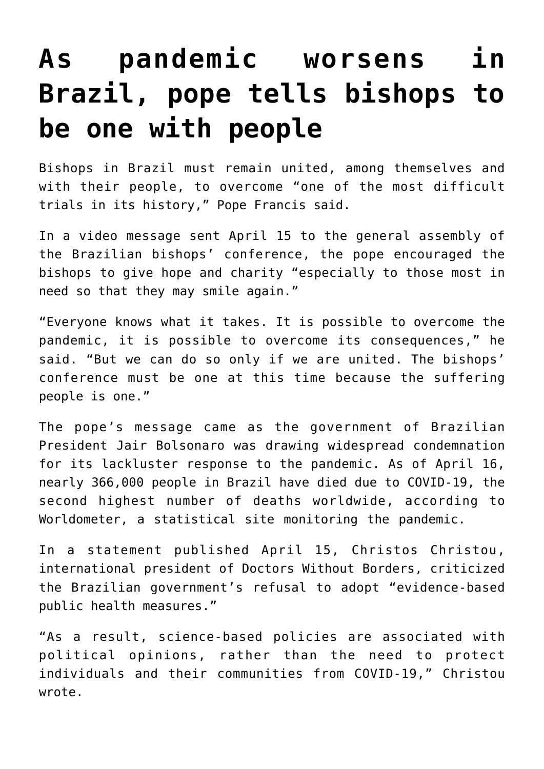## **[As pandemic worsens in](https://www.osvnews.com/2021/04/16/as-pandemic-worsens-in-brazil-pope-tells-bishops-to-be-one-with-people/) [Brazil, pope tells bishops to](https://www.osvnews.com/2021/04/16/as-pandemic-worsens-in-brazil-pope-tells-bishops-to-be-one-with-people/) [be one with people](https://www.osvnews.com/2021/04/16/as-pandemic-worsens-in-brazil-pope-tells-bishops-to-be-one-with-people/)**

Bishops in Brazil must remain united, among themselves and with their people, to overcome "one of the most difficult trials in its history," Pope Francis said.

In a video message sent April 15 to the general assembly of the Brazilian bishops' conference, the pope encouraged the bishops to give hope and charity "especially to those most in need so that they may smile again."

"Everyone knows what it takes. It is possible to overcome the pandemic, it is possible to overcome its consequences," he said. "But we can do so only if we are united. The bishops' conference must be one at this time because the suffering people is one."

The pope's message came as the government of Brazilian President Jair Bolsonaro was drawing widespread condemnation for its lackluster response to the pandemic. As of April 16, nearly 366,000 people in Brazil have died due to COVID-19, the second highest number of deaths worldwide, according to Worldometer, a statistical site monitoring the pandemic.

In a statement published April 15, Christos Christou, international president of Doctors Without Borders, criticized the Brazilian government's refusal to adopt "evidence-based public health measures."

"As a result, science-based policies are associated with political opinions, rather than the need to protect individuals and their communities from COVID-19," Christou wrote.